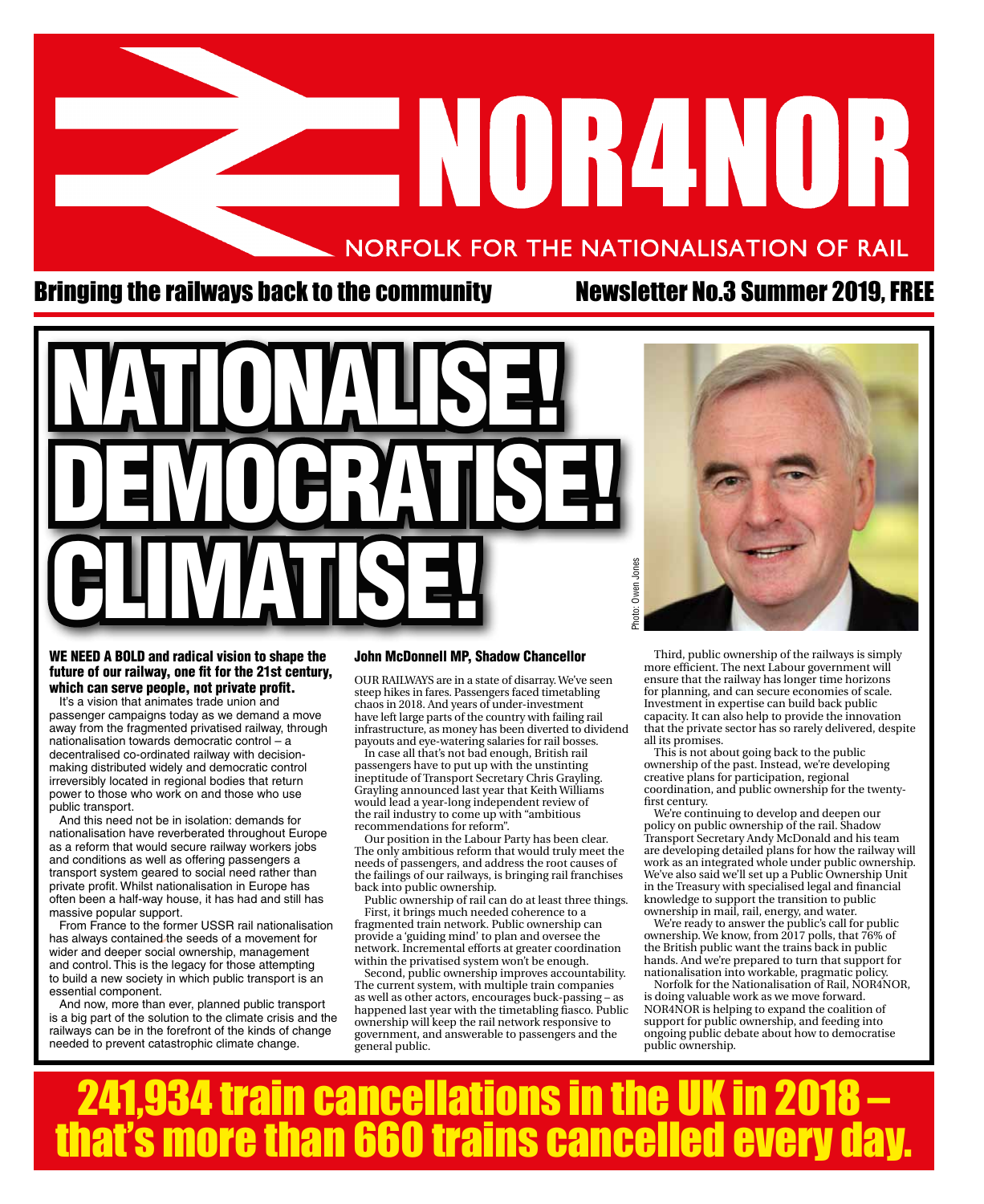# ANORANOR NORFOLK FOR THE NATIONALISATION OF RAIL

#### Bringing the railways back to the community Mewsletter No.3 Summer 2019, FREE





#### WE NEED A BOLD and radical vision to shape the future of our railway, one fit for the 21st century, which can serve people, not private profit.

It's a vision that animates trade union and passenger campaigns today as we demand a move away from the fragmented privatised railway, through nationalisation towards democratic control – a decentralised co-ordinated railway with decisionmaking distributed widely and democratic control irreversibly located in regional bodies that return power to those who work on and those who use public transport.

And this need not be in isolation: demands for nationalisation have reverberated throughout Europe as a reform that would secure railway workers jobs and conditions as well as offering passengers a transport system geared to social need rather than private profit. Whilst nationalisation in Europe has often been a half-way house, it has had and still has massive popular support.

From France to the former USSR rail nationalisation has always contained the seeds of a movement for wider and deeper social ownership, management and control. This is the legacy for those attempting to build a new society in which public transport is an essential component.

And now, more than ever, planned public transport is a big part of the solution to the climate crisis and the railways can be in the forefront of the kinds of change needed to prevent catastrophic climate change.

#### John McDonnell MP, Shadow Chancellor

OUR RAILWAYS are in a state of disarray. We've seen steep hikes in fares. Passengers faced timetabling chaos in 2018. And years of under-investment have left large parts of the country with failing rail infrastructure, as money has been diverted to dividend payouts and eye-watering salaries for rail bosses.

In case all that's not bad enough, British rail passengers have to put up with the unstinting ineptitude of Transport Secretary Chris Grayling. Grayling announced last year that Keith Williams would lead a year-long independent review of the rail industry to come up with "ambitious recommendations for reform".

Our position in the Labour Party has been clear. The only ambitious reform that would truly meet the needs of passengers, and address the root causes of the failings of our railways, is bringing rail franchises back into public ownership.

Public ownership of rail can do at least three things. First, it brings much needed coherence to a fragmented train network. Public ownership can provide a 'guiding mind' to plan and oversee the network. Incremental efforts at greater coordination within the privatised system won't be enough.

Second, public ownership improves accountability. The current system, with multiple train companies as well as other actors, encourages buck-passing – as happened last year with the timetabling fiasco. Public ownership will keep the rail network responsive to government, and answerable to passengers and the general public.

Third, public ownership of the railways is simply more efficient. The next Labour government will ensure that the railway has longer time horizons for planning, and can secure economies of scale. Investment in expertise can build back public capacity. It can also help to provide the innovation that the private sector has so rarely delivered, despite all its promises.

This is not about going back to the public ownership of the past. Instead, we're developing creative plans for participation, regional coordination, and public ownership for the twentyfirst century.

We're continuing to develop and deepen our policy on public ownership of the rail. Shadow Transport Secretary Andy McDonald and his team are developing detailed plans for how the railway will work as an integrated whole under public ownership. We've also said we'll set up a Public Ownership Unit in the Treasury with specialised legal and financial knowledge to support the transition to public ownership in mail, rail, energy, and water.

We're ready to answer the public's call for public ownership. We know, from 2017 polls, that 76% of the British public want the trains back in public hands. And we're prepared to turn that support for nationalisation into workable, pragmatic policy.

Norfolk for the Nationalisation of Rail, NOR4NOR, is doing valuable work as we move forward. NOR4NOR is helping to expand the coalition of support for public ownership, and feeding into ongoing public debate about how to democratise public ownership.

241,934 train cancellations in the UK in 2018 – **that's more than 660 trains cancelled every day.**<br> **Example: One of the CASE of the CASE of the CASE of the CASE of the CASE of the CASE of the CASE of the CASE of the CASE of the CASE of the CASE of the CASE of the CASE**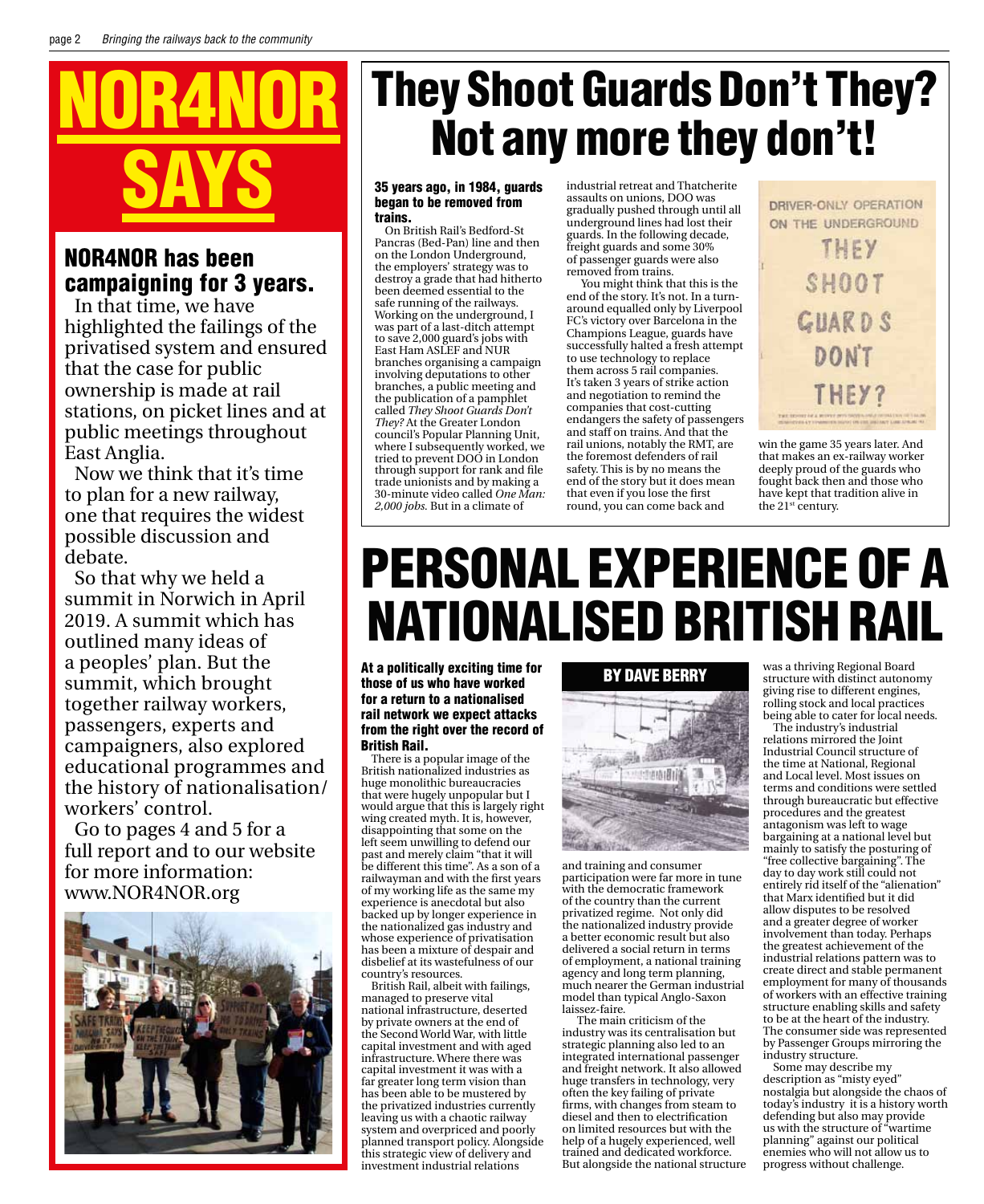

#### NOR4NOR has been campaigning for 3 years.

In that time, we have highlighted the failings of the privatised system and ensured that the case for public ownership is made at rail stations, on picket lines and at public meetings throughout East Anglia.

Now we think that it's time to plan for a new railway, one that requires the widest possible discussion and debate.

So that why we held a summit in Norwich in April 2019. A summit which has outlined many ideas of a peoples' plan. But the summit, which brought together railway workers, passengers, experts and campaigners, also explored educational programmes and the history of nationalisation/ workers' control.

Go to pages 4 and 5 for a full report and to our website for more information: www.NOR4NOR.org



## They Shoot Guards Don't They? Not any more they don't!

#### 35 years ago, in 1984, guards began to be removed from trains.

On British Rail's Bedford-St Pancras (Bed-Pan) line and then on the London Underground, the employers' strategy was to destroy a grade that had hitherto been deemed essential to the safe running of the railways. Working on the underground, I was part of a last-ditch attempt to save 2,000 guard's jobs with East Ham ASLEF and NU branches organising a campaign involving deputations to other branches, a public meeting and the publication of a pamphlet called *They Shoot Guards Don't They?* At the Greater London council's Popular Planning Unit, where I subsequently worked, we tried to prevent DOO in London through support for rank and file trade unionists and by making a 30-minute video called *One Man: 2,000 jobs.* But in a climate of

industrial retreat and Thatcherite assaults on unions, DOO was gradually pushed through until all underground lines had lost their guards. In the following decade, freight guards and some 30% of passenger guards were also removed from trains.

 You might think that this is the end of the story. It's not. In a turnaround equalled only by Liverpool FC's victory over Barcelona in the Champions League, guards have successfully halted a fresh attempt to use technology to replace them across 5 rail companies. It's taken 3 years of strike action and negotiation to remind the companies that cost-cutting endangers the safety of passengers and staff on trains. And that the rail unions, notably the RMT, are the foremost defenders of rail safety. This is by no means the end of the story but it does mean that even if you lose the first round, you can come back and

DRIVER-ONLY OPERATION ON THE UNDERGROUND THEY SHOOT **GUARDS** DONT

win the game 35 years later. And that makes an ex-railway worker deeply proud of the guards who fought back then and those who have kept that tradition alive in the 21st century.

## Personal Experience of a Nationalised British Rail

At a politically exciting time for those of us who have worked for a return to a nationalised rail network we expect attacks from the right over the record of British Rail.

There is a popular image of the British nationalized industries as huge monolithic bureaucracies that were hugely unpopular but I would argue that this is largely right wing created myth. It is, however, disappointing that some on the left seem unwilling to defend our past and merely claim "that it will be different this time". As a son of a railwayman and with the first years of my working life as the same my experience is anecdotal but also backed up by longer experience in the nationalized gas industry and whose experience of privatisation has been a mixture of despair and disbelief at its wastefulness of our country's resources.

British Rail, albeit with failings, managed to preserve vital national infrastructure, deserted by private owners at the end of the Second World War, with little capital investment and with aged infrastructure. Where there was capital investment it was with a far greater long term vision than has been able to be mustered by the privatized industries currently leaving us with a chaotic railway system and overpriced and poorly planned transport policy. Alongside this strategic view of delivery and investment industrial relations

#### By Dave Berry



and training and consumer participation were far more in tune with the democratic framework of the country than the current privatized regime. Not only did the nationalized industry provide a better economic result but also delivered a social return in terms of employment, a national training agency and long term planning, much nearer the German industrial model than typical Anglo-Saxon laissez-faire.

 The main criticism of the industry was its centralisation but strategic planning also led to an integrated international passenger and freight network. It also allowed huge transfers in technology, very often the key failing of private firms, with changes from steam to diesel and then to electrification on limited resources but with the help of a hugely experienced, well trained and dedicated workforce. But alongside the national structure was a thriving Regional Board structure with distinct autonomy giving rise to different engines, rolling stock and local practices being able to cater for local needs.

The industry's industrial relations mirrored the Joint Industrial Council structure of the time at National, Regional and Local level. Most issues on terms and conditions were settled through bureaucratic but effective procedures and the greatest antagonism was left to wage bargaining at a national level but mainly to satisfy the posturing of "free collective bargaining". The day to day work still could not entirely rid itself of the "alienation" that Marx identified but it did allow disputes to be resolved and a greater degree of worker involvement than today. Perhaps the greatest achievement of the industrial relations pattern was to create direct and stable permanent employment for many of thousands of workers with an effective training structure enabling skills and safety to be at the heart of the industry. The consumer side was represented by Passenger Groups mirroring the industry structure.

Some may describe my description as "misty eyed" nostalgia but alongside the chaos of today's industry it is a history worth defending but also may provide us with the structure of "wartime planning" against our political enemies who will not allow us to progress without challenge.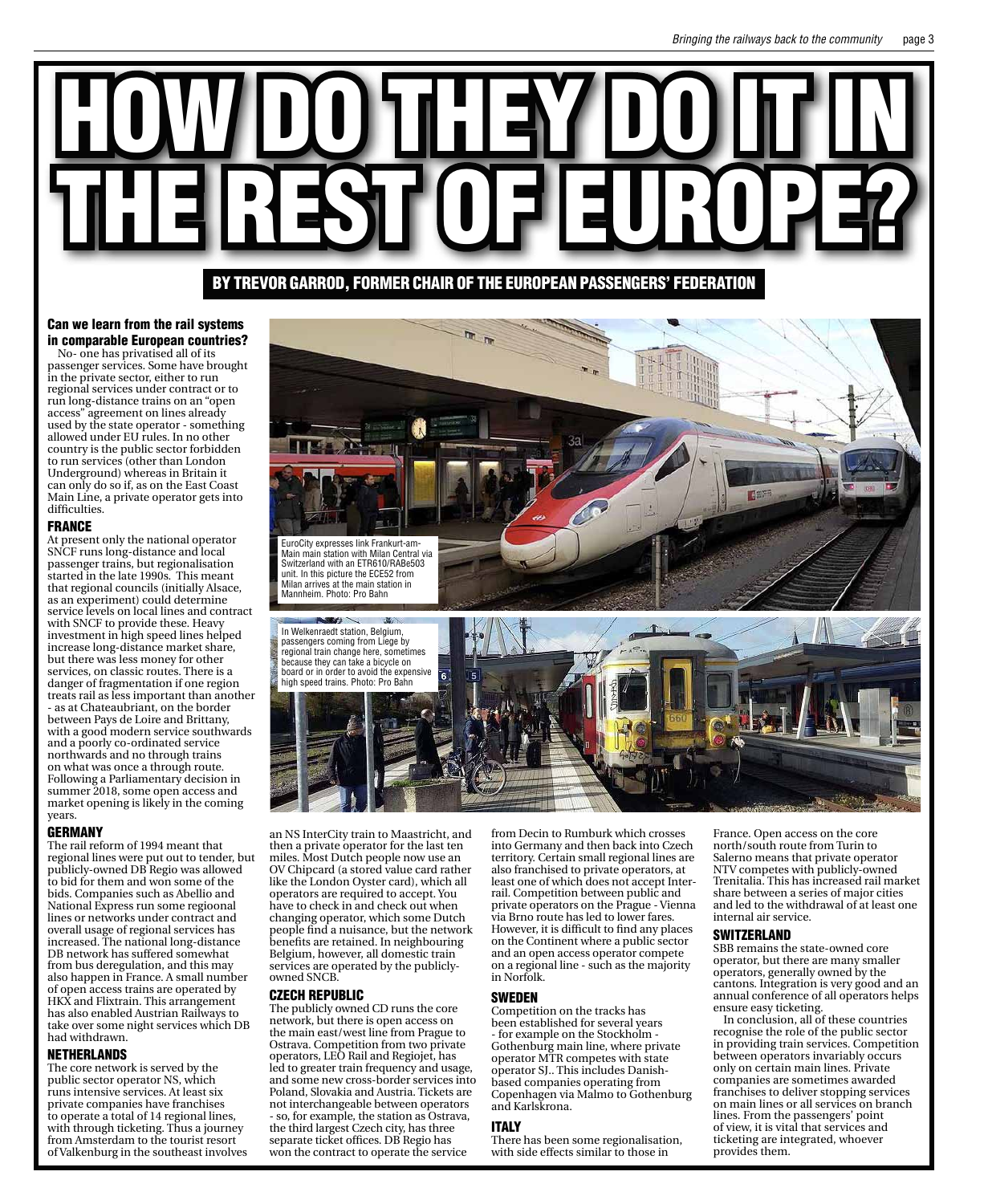## HOW DO THEY DO IT IN THE REST OF EUROPE? By Trevor Garrod, former chair of the European Passengers' Federation

#### Can we learn from the rail systems in comparable European countries?

No- one has privatised all of its passenger services. Some have brought in the private sector, either to run regional services under contract or to run long-distance trains on an "open access" agreement on lines already used by the state operator - something allowed under EU rules. In no other country is the public sector forbidden to run services (other than London Underground) whereas in Britain it can only do so if, as on the East Coast Main Line, a private operator gets into difficulties.

#### FRANCE

At present only the national operator SNCF runs long-distance and local passenger trains, but regionalisation started in the late 1990s. This meant that regional councils (initially Alsace, as an experiment) could determine service levels on local lines and contract with SNCF to provide these. Heavy investment in high speed lines helped increase long-distance market share, but there was less money for other services, on classic routes. There is a danger of fragmentation if one region treats rail as less important than another - as at Chateaubriant, on the border between Pays de Loire and Brittany, with a good modern service southwards and a poorly co-ordinated service northwards and no through trains on what was once a through route. Following a Parliamentary decision in summer 2018, some open access and market opening is likely in the coming years.

#### GERMANY

The rail reform of 1994 meant that regional lines were put out to tender, but publicly-owned DB Regio was allowed to bid for them and won some of the bids. Companies such as Abellio and National Express run some regioonal lines or networks under contract and overall usage of regional services has increased. The national long-distance DB network has suffered somewhat from bus deregulation, and this may also happen in France. A small number of open access trains are operated by HKX and Flixtrain. This arrangement has also enabled Austrian Railways to take over some night services which DB had withdrawn.

#### NETHERLANDS

The core network is served by the public sector operator NS, which runs intensive services. At least six private companies have franchises to operate a total of 14 regional lines, with through ticketing. Thus a journey from Amsterdam to the tourist resort of Valkenburg in the southeast involves



an NS InterCity train to Maastricht, and then a private operator for the last ten miles. Most Dutch people now use an OV Chipcard (a stored value card rather like the London Oyster card), which all operators are required to accept. You have to check in and check out when changing operator, which some Dutch people find a nuisance, but the network benefits are retained. In neighbouring Belgium, however, all domestic train services are operated by the publiclyowned SNCB.

#### CZECH REPUBLIC

The publicly owned CD runs the core network, but there is open access on the main east/west line from Prague to Ostrava. Competition from two private operators, LEO Rail and Regiojet, has led to greater train frequency and usage, and some new cross-border services into Poland, Slovakia and Austria. Tickets are not interchangeable between operators - so, for example, the station as Ostrava, the third largest Czech city, has three separate ticket offices. DB Regio has won the contract to operate the service

from Decin to Rumburk which crosses into Germany and then back into Czech territory. Certain small regional lines are also franchised to private operators, at least one of which does not accept Interrail. Competition between public and private operators on the Prague - Vienna via Brno route has led to lower fares. However, it is difficult to find any places on the Continent where a public sector and an open access operator compete on a regional line - such as the majority in Norfolk.

#### SWEDEN

Competition on the tracks has been established for several years - for example on the Stockholm - Gothenburg main line, where private operator MTR competes with state operator SJ.. This includes Danishbased companies operating from Copenhagen via Malmo to Gothenburg and Karlskrona.

#### ITALY

There has been some regionalisation, with side effects similar to those in

France. Open access on the core north/south route from Turin to Salerno means that private operator NTV competes with publicly-owned Trenitalia. This has increased rail market share between a series of major cities and led to the withdrawal of at least one internal air service.

#### **SWITZERLAND**

SBB remains the state-owned core operator, but there are many smaller operators, generally owned by the cantons. Integration is very good and an annual conference of all operators helps ensure easy ticketing.

In conclusion, all of these countries recognise the role of the public sector in providing train services. Competition between operators invariably occurs only on certain main lines. Private companies are sometimes awarded franchises to deliver stopping services on main lines or all services on branch lines. From the passengers' point of view, it is vital that services and ticketing are integrated, whoever provides them.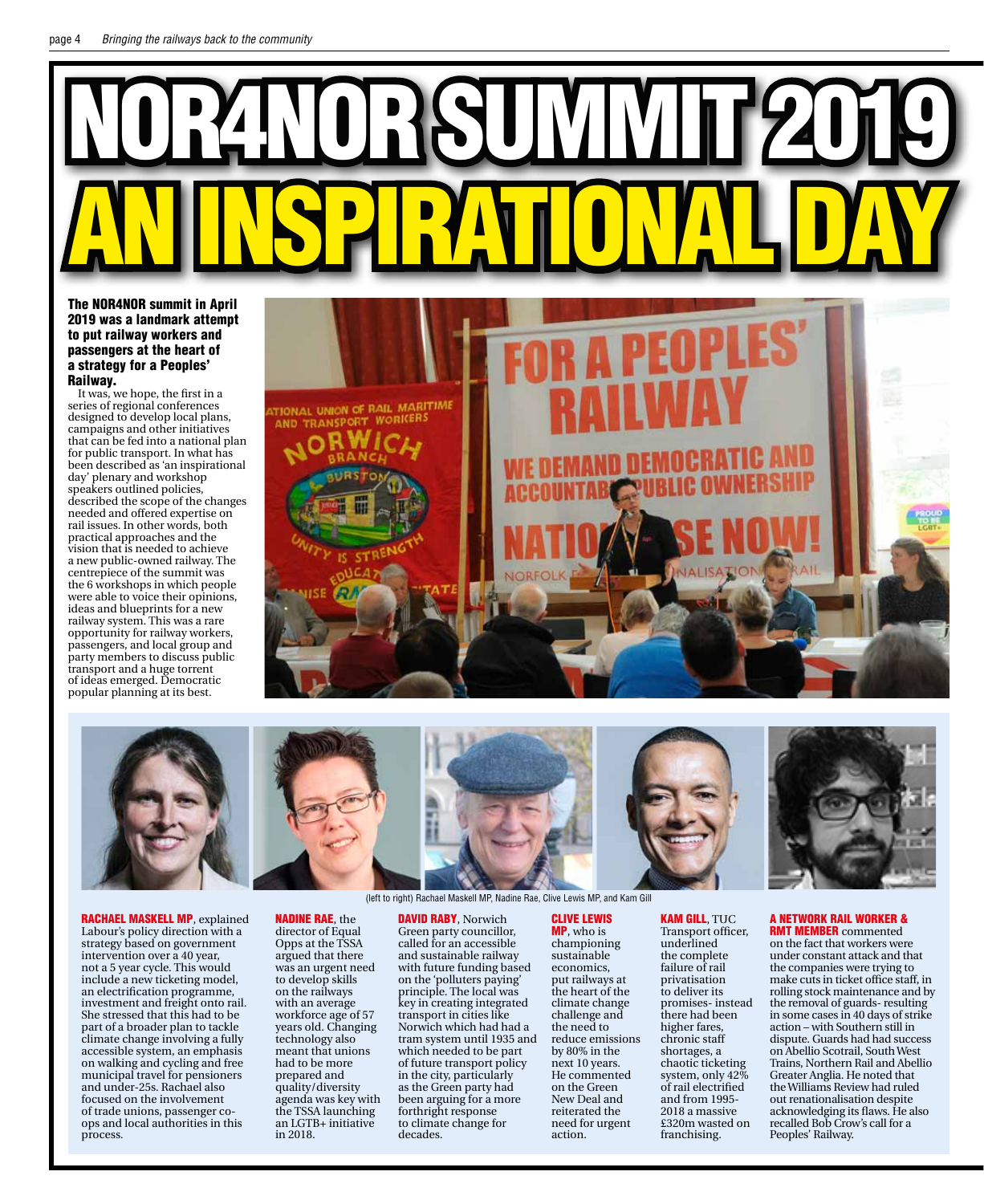# NOR4NORSUMMIT 2019 AN INSPIRATIONAL DAY

The NOR4NOR summit in April 2019 was a landmark attempt to put railway workers and passengers at the heart of a strategy for a Peoples' Railway.

It was, we hope, the first in a series of regional conferences designed to develop local plans, campaigns and other initiatives that can be fed into a national plan for public transport. In what has been described as 'an inspirational day' plenary and workshop speakers outlined policies, described the scope of the changes needed and offered expertise on rail issues. In other words, both practical approaches and the vision that is needed to achieve a new public-owned railway. The centrepiece of the summit was the 6 workshops in which people were able to voice their opinions, ideas and blueprints for a new railway system. This was a rare opportunity for railway workers, passengers, and local group and party members to discuss public transport and a huge torrent of ideas emerged. Democratic popular planning at its best.





RACHAEL MASKELL MP, explained Labour's policy direction with a strategy based on government intervention over a 40 year, not a 5 year cycle. This would include a new ticketing model, an electrification programme, investment and freight onto rail. She stressed that this had to be part of a broader plan to tackle climate change involving a fully accessible system, an emphasis on walking and cycling and free municipal travel for pensioners and under-25s. Rachael also focused on the involvement of trade unions, passenger coops and local authorities in this process.

director of Equal **DAVID RABY, Norwich** 

Nadine Rae, the

Opps at the TSSA argued that there was an urgent need to develop skills on the railways with an average workforce age of 57 years old. Changing technology also meant that unions had to be more prepared and quality/diversity agenda was key with the TSSA launching an LGTB+ initiative

in 2018.

Green party councillor, called for an accessible and sustainable railway with future funding based on the 'polluters paying' principle. The local was key in creating integrated transport in cities like Norwich which had had a tram system until 1935 and which needed to be part of future transport policy in the city, particularly as the Green party had been arguing for a more forthright response to climate change for decades.

Clive Lewis MP, who is championing sustainable economics, put railways at the heart of the climate change challenge and the need to reduce emissions by 80% in the next 10 years. He commented on the Green New Deal and

reiterated the need for urgent

action.

Kam Gill, TUC Transport officer, underlined the complete failure of rail privatisation to deliver its promises- instead there had been higher fares, chronic staff shortages, a chaotic ticketing system, only 42% of rail electrified and from 1995- 2018 a massive £320m wasted on franchising.



**RMT MEMBER** commented on the fact that workers were under constant attack and that the companies were trying to make cuts in ticket office staff, in rolling stock maintenance and by the removal of guards- resulting in some cases in 40 days of strike action – with Southern still in dispute. Guards had had success on Abellio Scotrail, South West Trains, Northern Rail and Abellio Greater Anglia. He noted that the Williams Review had ruled out renationalisation despite acknowledging its flaws. He also recalled Bob Crow's call for a Peoples' Railway.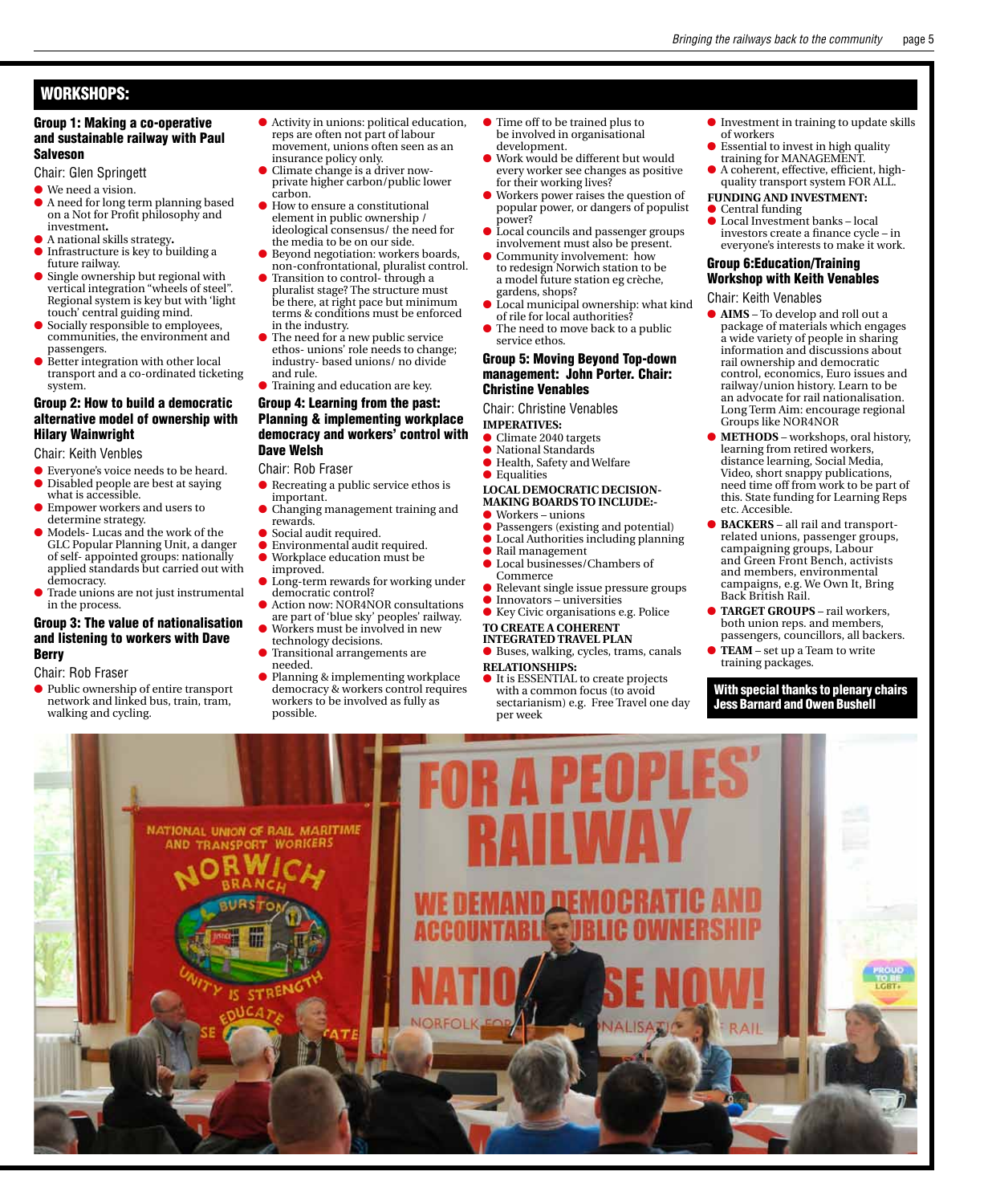#### Workshops:

#### Group 1: Making a co-operative and sustainable railway with Paul Salveson

- Chair: Glen Springett
- $\bullet$  We need a vision.
- l A need for long term planning based on a Not for Profit philosophy and investment**.**
- l A national skills strategy**.**
- $\bullet$  Infrastructure is key to building a future railway.
- **Single ownership but regional with** vertical integration "wheels of steel". Regional system is key but with 'light touch' central guiding mind.
- $\bullet$  Socially responsible to employees, communities, the environment and passengers.
- $\bullet$  Better integration with other local transport and a co-ordinated ticketing system.

#### Group 2: How to build a democratic alternative model of ownership with Hilary Wainwright

Chair: Keith Venbles

- l Everyone's voice needs to be heard. l Disabled people are best at saying what is accessible.
- l Empower workers and users to determine strategy.
- Models- Lucas and the work of the GLC Popular Planning Unit, a danger of self- appointed groups: nationally applied standards but carried out with democracy.
- l Trade unions are not just instrumental in the process.

#### Group 3: The value of nationalisation and listening to workers with Dave Berry

#### Chair: Rob Fraser

- l Public ownership of entire transport
- network and linked bus, train, tram, walking and cycling.
- $\bullet$  Activity in unions: political education, reps are often not part of labour movement, unions often seen as an
- insurance policy only. l Climate change is a driver nowprivate higher carbon/public lower
- carbon. ● How to ensure a constitutional element in public ownership / ideological consensus/ the need for the media to be on our side.
- **Beyond negotiation: workers boards,** non-confrontational, pluralist control. **•** Transition to control-through a
- pluralist stage? The structure must be there, at right pace but minimum terms & conditions must be enforced in the industry. The need for a new public service
- ethos- unions' role needs to change; industry- based unions/ no divide and rule.
- **Training and education are key.**

#### Group 4: Learning from the past: Planning & implementing workplace democracy and workers' control with Dave Welsh

Chair: Rob Fraser

- $\bullet$  Recreating a public service ethos is important.
- l Changing management training and rewards.
- Social audit required.
- l Environmental audit required. l Workplace education must be
- improved. Long-term rewards for working under
- democratic control? l Action now: NOR4NOR consultations
- are part of 'blue sky' peoples' railway.
- l Workers must be involved in new technology decisions.
- Transitional arrangements are
- needed. ● Planning & implementing workplace
- democracy & workers control requires workers to be involved as fully as possible.
- l Time off to be trained plus to be involved in organisational development.
- Work would be different but would every worker see changes as positive for their working lives?
- l Workers power raises the question of popular power, or dangers of populist power?
- Local councils and passenger groups involvement must also be present.
- Community involvement: how to redesign Norwich station to be a model future station eg crèche, gardens, shops?
- Local municipal ownership: what kind of rile for local authorities?
- $\bullet$  The need to move back to a public service ethos.

#### Group 5: Moving Beyond Top-down management: John Porter. Chair: Christine Venables

Chair: Christine Venables

- **Imperatives:**
- **Climate 2040 targets**
- l National Standards  $\bullet\,$  Health, Safety and Welfare
- **C** Equalities
- **LOCAL Democratic Decision-**
- **making boards to include:-**
- $\bullet$  Workers unions
- **Passengers (existing and potential) C** Local Authorities including planning
- $\bullet$  Rail management
	- **l** Local businesses/Chambers of
	- Commerce l Relevant single issue pressure groups  $\bullet$  Innovators – universities
	- **Key Civic organisations e.g. Police To create a Coherent**

#### **Integrated Travel Plan**

- l Buses, walking, cycles, trams, canals
- **Relationships:**
- $\bullet$  It is ESSENTIAL to create projects with a common focus (to avoid sectarianism) e.g. Free Travel one day per week
- $\bullet$  Investment in training to update skills of workers
- $\bullet$  Essential to invest in high quality training for MANAGEMENT.
- $\bullet$  A coherent, effective, efficient, highquality transport system FOR ALL.
- **Funding and Investment:**
- $\bullet$  Central funding
- Local Investment banks local investors create a finance cycle – in everyone's interests to make it work.

#### Group 6:Education/Training Workshop with Keith Venables

- Chair: Keith Venables
- l **Aims** To develop and roll out a package of materials which engages a wide variety of people in sharing information and discussions about rail ownership and democratic control, economics, Euro issues and railway/union history. Learn to be an advocate for rail nationalisation. Long Term Aim: encourage regional Groups like NOR4NOR
- **METHODS** workshops, oral history, learning from retired workers, distance learning, Social Media, Video, short snappy publications, need time off from work to be part of this. State funding for Learning Reps etc. Accesible.
- l **Backers** all rail and transportrelated unions, passenger groups, campaigning groups, Labour and Green Front Bench, activists and members, environmental campaigns, e.g. We Own It, Bring Back British Rail.
- l **Target Groups** rail workers, both union reps. and members, passengers, councillors, all backers.
- **lacks** TEAM set up a Team to write training packages.

With special thanks to plenary chairs Jess Barnard and Owen Bushell

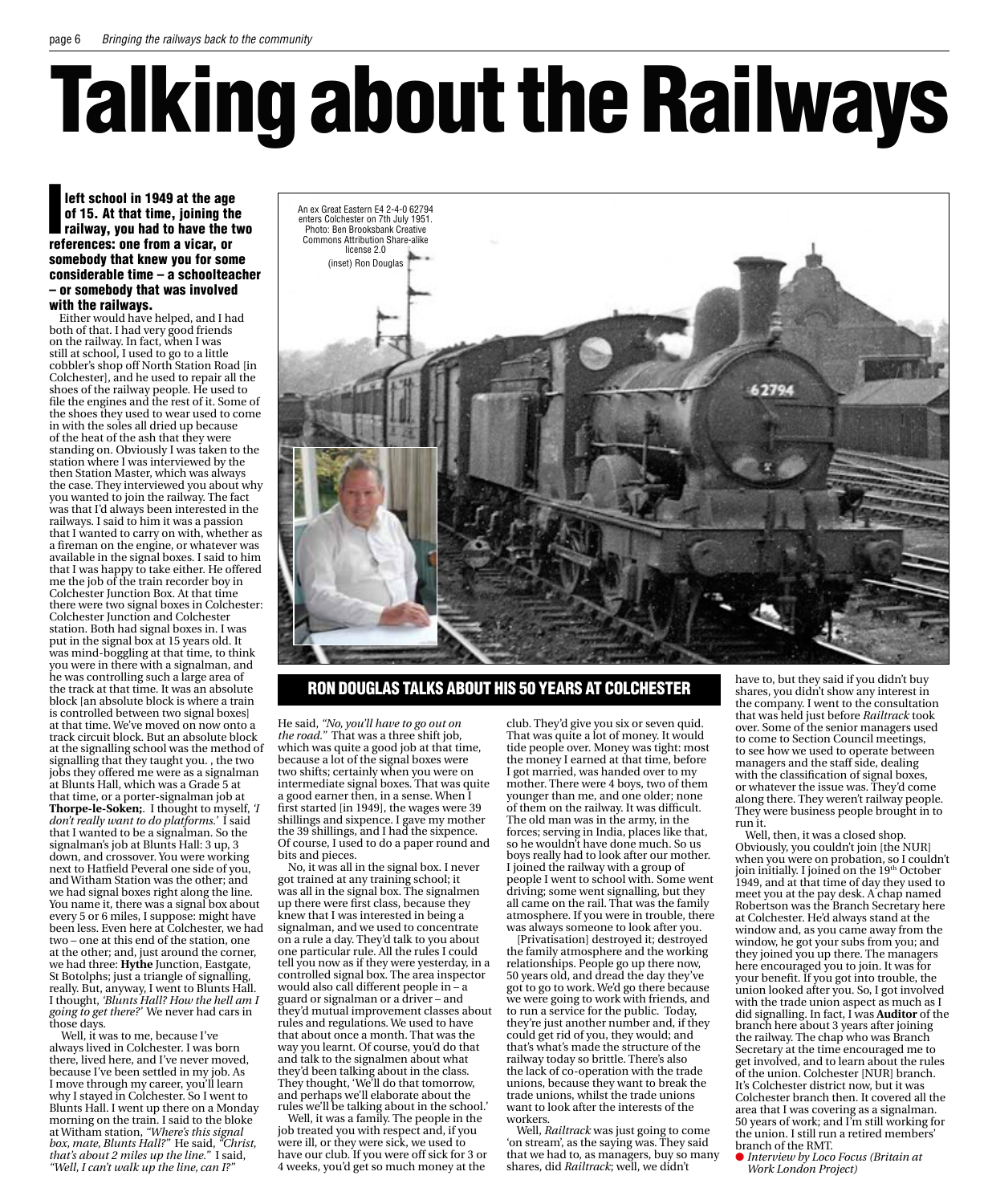# Talking about the Railways

left school in 1949 at the age<br>of 15. At that time, joining the<br>railway, you had to have the t<br>references: one from a vicar, or left school in 1949 at the age of 15. At that time, joining the railway, you had to have the two somebody that knew you for some considerable time – a schoolteacher – or somebody that was involved with the railways.

Either would have helped, and I had both of that. I had very good friends on the railway. In fact, when I was still at school, I used to go to a little cobbler's shop off North Station Road [in Colchester], and he used to repair all the shoes of the railway people. He used to file the engines and the rest of it. Some of the shoes they used to wear used to come in with the soles all dried up because of the heat of the ash that they were standing on. Obviously I was taken to the station where I was interviewed by the then Station Master, which was always the case. They interviewed you about why you wanted to join the railway. The fact was that I'd always been interested in the railways. I said to him it was a passion that I wanted to carry on with, whether as a fireman on the engine, or whatever was available in the signal boxes. I said to him that I was happy to take either. He offered me the job of the train recorder boy in Colchester Junction Box. At that time there were two signal boxes in Colchester: Colchester Junction and Colchester station. Both had signal boxes in. I was put in the signal box at 15 years old. It was mind-boggling at that time, to think you were in there with a signalman, and he was controlling such a large area of the track at that time. It was an absolute block [an absolute block is where a train is controlled between two signal boxes] at that time. We've moved on now onto a track circuit block. But an absolute block at the signalling school was the method of signalling that they taught you. , the two jobs they offered me were as a signalman at Blunts Hall, which was a Grade 5 at that time, or a porter-signalman job at **Thorpe-le-Soken;**. I thought to myself, *'I don't really want to do platforms.'* I said that I wanted to be a signalman. So the signalman's job at Blunts Hall: 3 up, 3 down, and crossover. You were working next to Hatfield Peveral one side of you, and Witham Station was the other; and we had signal boxes right along the line. You name it, there was a signal box about every 5 or 6 miles, I suppose: might have been less. Even here at Colchester, we had two – one at this end of the station, one at the other; and, just around the corner, we had three: **Hythe** Junction, Eastgate, St Botolphs; just a triangle of signalling, really. But, anyway, I went to Blunts Hall. I thought, *'Blunts Hall? How the hell am I going to get there?'* We never had cars in those days.

Well, it was to me, because I've always lived in Colchester. I was born there, lived here, and I've never moved, because I've been settled in my job. As I move through my career, you'll learn why I stayed in Colchester. So I went to Blunts Hall. I went up there on a Monday morning on the train. I said to the bloke at Witham station, *"Where's this signal box, mate, Blunts Hall?"* He said, *"Christ, that's about 2 miles up the line."* I said, *"Well, I can't walk up the line, can I?"* 



#### Ron Douglas talks about his 50 years at Colchester

He said, *"No, you'll have to go out on the road."* That was a three shift job, which was quite a good job at that time, because a lot of the signal boxes were two shifts; certainly when you were on intermediate signal boxes. That was quite a good earner then, in a sense. When I first started [in 1949], the wages were 39 shillings and sixpence. I gave my mother the 39 shillings, and I had the sixpence. Of course, I used to do a paper round and bits and pieces.

No, it was all in the signal box. I never got trained at any training school; it was all in the signal box. The signalmen up there were first class, because they knew that I was interested in being a signalman, and we used to concentrate on a rule a day. They'd talk to you about one particular rule. All the rules I could tell you now as if they were yesterday, in a controlled signal box. The area inspector would also call different people in – a guard or signalman or a driver – and they'd mutual improvement classes about rules and regulations. We used to have that about once a month. That was the way you learnt. Of course, you'd do that and talk to the signalmen about what they'd been talking about in the class. They thought, 'We'll do that tomorrow, and perhaps we'll elaborate about the rules we'll be talking about in the school.'

Well, it was a family. The people in the job treated you with respect and, if you were ill, or they were sick, we used to have our club. If you were off sick for 3 or 4 weeks, you'd get so much money at the

club. They'd give you six or seven quid. That was quite a lot of money. It would tide people over. Money was tight: most the money I earned at that time, before I got married, was handed over to my mother. There were 4 boys, two of them younger than me, and one older; none of them on the railway. It was difficult. The old man was in the army, in the forces; serving in India, places like that, so he wouldn't have done much. So us boys really had to look after our mother. I joined the railway with a group of people I went to school with. Some went driving; some went signalling, but they all came on the rail. That was the family atmosphere. If you were in trouble, there was always someone to look after you.

[Privatisation] destroyed it; destroyed the family atmosphere and the working relationships. People go up there now, 50 years old, and dread the day they've got to go to work. We'd go there because we were going to work with friends, and to run a service for the public. Today, they're just another number and, if they could get rid of you, they would; and that's what's made the structure of the railway today so brittle. There's also the lack of co-operation with the trade unions, because they want to break the trade unions, whilst the trade unions want to look after the interests of the workers.

Well, *Railtrack* was just going to come 'on stream', as the saying was. They said that we had to, as managers, buy so many shares, did *Railtrack*; well, we didn't

have to, but they said if you didn't buy shares, you didn't show any interest in the company. I went to the consultation that was held just before *Railtrack* took over. Some of the senior managers used to come to Section Council meetings, to see how we used to operate between managers and the staff side, dealing with the classification of signal boxes, or whatever the issue was. They'd come along there. They weren't railway people. They were business people brought in to run it.

Well, then, it was a closed shop. Obviously, you couldn't join [the NUR] when you were on probation, so I couldn't join initially. I joined on the 19<sup>th</sup> October 1949, and at that time of day they used to meet you at the pay desk. A chap named Robertson was the Branch Secretary here at Colchester. He'd always stand at the window and, as you came away from the window, he got your subs from you; and they joined you up there. The managers here encouraged you to join. It was for your benefit. If you got into trouble, the union looked after you. So, I got involved with the trade union aspect as much as I did signalling. In fact, I was **Auditor** of the branch here about 3 years after joining the railway. The chap who was Branch Secretary at the time encouraged me to get involved, and to learn about the rules of the union. Colchester [NUR] branch. It's Colchester district now, but it was Colchester branch then. It covered all the area that I was covering as a signalman. 50 years of work; and I'm still working for the union. I still run a retired members' branch of the RMT.

l *Interview by Loco Focus (Britain at Work London Project)*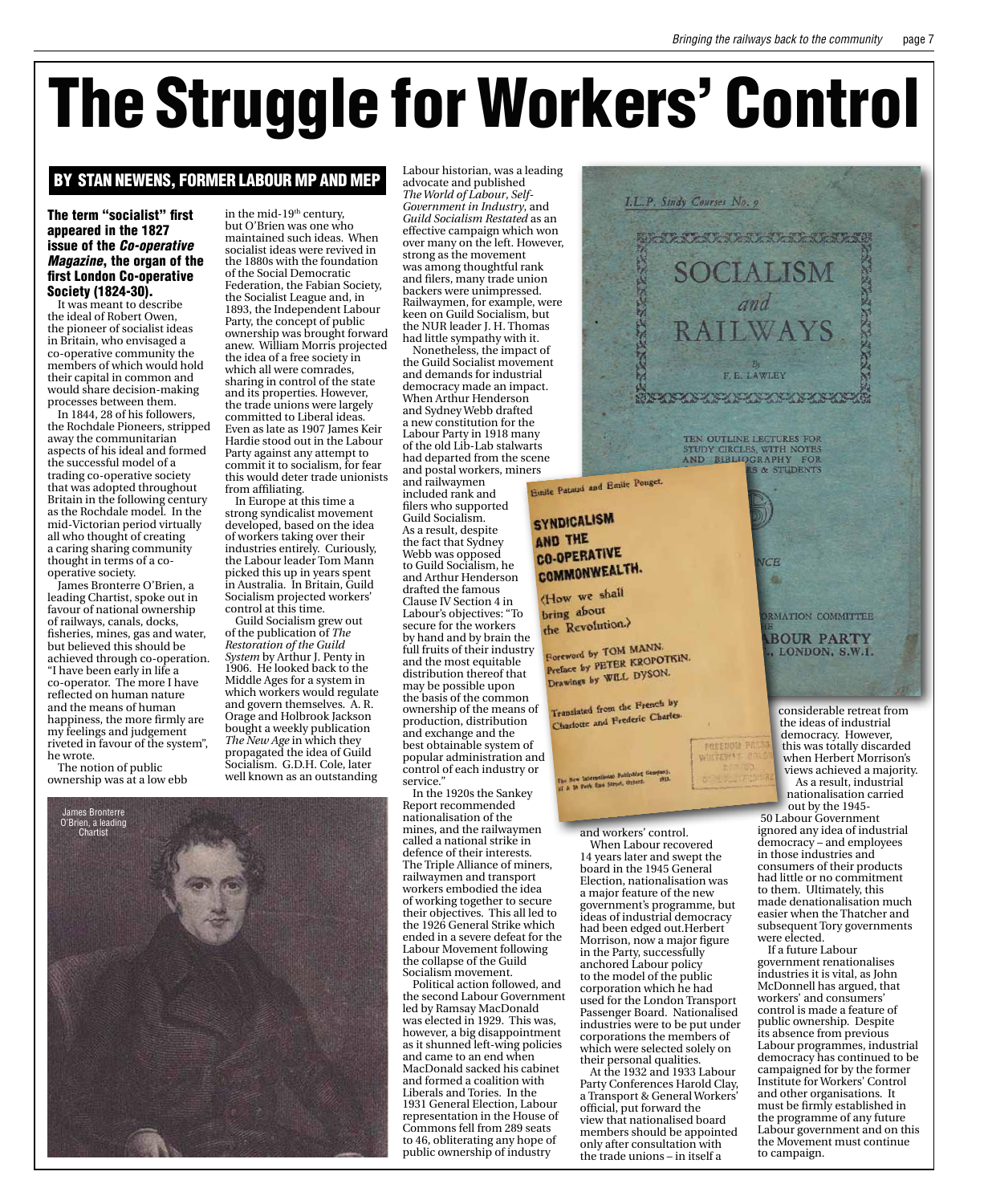## The Struggle for Workers' Control

#### BY Stan Newens, former Labour MP and MEP

#### The term "socialist" first appeared in the 1827 issue of the *Co-operative Magazine*, the organ of the first London Co-operative Society (1824-30).

It was meant to describe the ideal of Robert Owen, the pioneer of socialist ideas in Britain, who envisaged a co-operative community the members of which would hold their capital in common and would share decision-making processes between them.

In 1844, 28 of his followers, the Rochdale Pioneers, stripped away the communitarian aspects of his ideal and formed the successful model of a trading co-operative society that was adopted throughout Britain in the following century as the Rochdale model. In the mid-Victorian period virtually all who thought of creating a caring sharing community thought in terms of a cooperative society.

James Bronterre O'Brien, a leading Chartist, spoke out in favour of national ownership of railways, canals, docks, fisheries, mines, gas and water, but believed this should be achieved through co-operation. "I have been early in life a co-operator. The more I have reflected on human nature and the means of human happiness, the more firmly are my feelings and judgement riveted in favour of the system", he wrote.

The notion of public ownership was at a low ebb

in the mid- $19<sup>th</sup>$  century, but O'Brien was one who maintained such ideas. When socialist ideas were revived in the 1880s with the foundation of the Social Democratic Federation, the Fabian Society, the Socialist League and, in 1893, the Independent Labour Party, the concept of public ownership was brought forward anew. William Morris projected the idea of a free society in which all were comrades, sharing in control of the state and its properties. However, the trade unions were largely committed to Liberal ideas. Even as late as 1907 James Keir Hardie stood out in the Labour Party against any attempt to commit it to socialism, for fear this would deter trade unionists

from affiliating. In Europe at this time a strong syndicalist movement developed, based on the idea of workers taking over their industries entirely. Curiously, the Labour leader Tom Mann picked this up in years spent in Australia. In Britain, Guild Socialism projected workers' control at this time.

Guild Socialism grew out of the publication of *The Restoration of the Guild System* by Arthur J. Penty in 1906. He looked back to the Middle Ages for a system in which workers would regulate and govern themselves. A. R. Orage and Holbrook Jackson bought a weekly publication *The New Age* in which they propagated the idea of Guild Socialism. G.D.H. Cole, later well known as an outstanding

Labour historian, was a leading advocate and published

*The World of Labour*, *Self-Government in Industry*, and *Guild Socialism Restated* as an effective campaign which won over many on the left. However, strong as the movement was among thoughtful rank and filers, many trade union backers were unimpressed. Railwaymen, for example, were keen on Guild Socialism, but the NUR leader I. H. Thomas had little sympathy with it.

Nonetheless, the impact of the Guild Socialist movement and demands for industrial democracy made an impact. When Arthur Henderson and Sydney Webb drafted a new constitution for the Labour Party in 1918 many of the old Lib-Lab stalwarts had departed from the scene

and railwaymen included rank and filers who supported Guild Socialism. As a result, despite the fact that Sydney Webb was opposed to Guild Socialism, he and Arthur Henderson drafted the famous Clause IV Section 4 in Labour's objectives: "To secure for the workers by hand and by brain the full fruits of their industry and the most equitable distribution thereof that may be possible upon the basis of the common ownership of the means of production, distribution and exchange and the best obtainable system of popular administration and control of each industry or service."

In the 1920s the Sankey Report recommended nationalisation of the mines, and the railwaymen called a national strike in defence of their interests. The Triple Alliance of miners, railwaymen and transport workers embodied the idea of working together to secure their objectives. This all led to the 1926 General Strike which ended in a severe defeat for the Labour Movement following the collapse of the Guild Socialism movement.

Political action followed, and the second Labour Government led by Ramsay MacDonald was elected in 1929. This was, however, a big disappointment as it shunned left-wing policies and came to an end when MacDonald sacked his cabinet and formed a coalition with Liberals and Tories. In the 1931 General Election, Labour representation in the House of Commons fell from 289 seats to 46, obliterating any hope of public ownership of industry



Election, nationalisation was a major feature of the new government's programme, but ideas of industrial democracy had been edged out.Herbert Morrison, now a major figure in the Party, successfully anchored Labour policy to the model of the public corporation which he had used for the London Transport Passenger Board. Nationalised industries were to be put under corporations the members of which were selected solely on their personal qualities.

At the 1932 and 1933 Labour Party Conferences Harold Clay, a Transport & General Workers' official, put forward the view that nationalised board members should be appointed only after consultation with the trade unions – in itself a

As a result, industrial nationalisation carried out by the 1945- 50 Labour Government ignored any idea of industrial democracy – and employees consumers of their products had little or no commitment

to them. Ultimately, this made denationalisation much easier when the Thatcher and subsequent Tory governments were elected.

If a future Labour government renationalises industries it is vital, as John McDonnell has argued, that workers' and consumers' control is made a feature of public ownership. Despite its absence from previous Labour programmes, industrial democracy has continued to be campaigned for by the former Institute for Workers' Control and other organisations. It must be firmly established in the programme of any future Labour government and on this the Movement must continue to campaign.